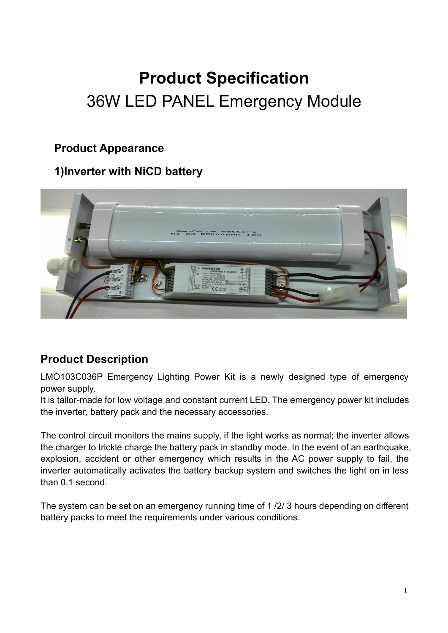# **Product Specification** 36W LED PANEL Emergency Module

#### **Product Appearance**

#### **1)Inverter with NiCD battery**



## **Product Description**

LMO103C036P Emergency Lighting Power Kit is a newly designed type of emergency power supply.

It is tailor-made for low voltage and constant current LED. The emergency power kit includes the inverter, battery pack and the necessary accessories.

The control circuit monitors the mains supply, if the light works as normal; the inverter allows the charger to trickle charge the battery pack in standby mode. In the event of an earthquake, explosion, accident or other emergency which results in the AC power supply to fail, the inverter automatically activates the battery backup system and switches the light on in less than 0.1 second.

The system can be set on an emergency running time of 1 /2/ 3 hours depending on different battery packs to meet the requirements under various conditions.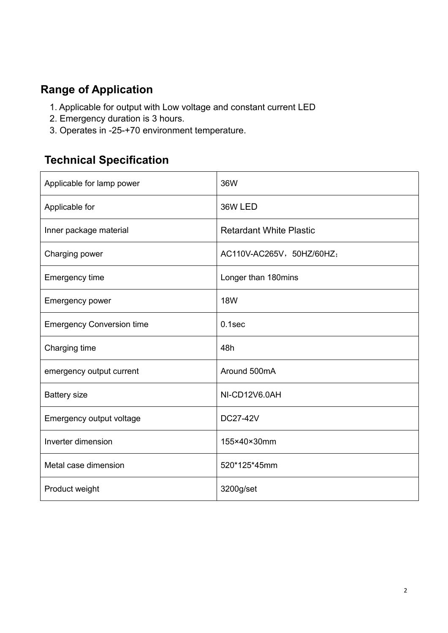## **Range of Application**

- 1. Applicable for output with Low voltage and constant current LED
- 2. Emergency duration is 3 hours.
- 3. Operates in -25-+70 environment temperature.

## **Technical Specification**

| Applicable for lamp power        | 36W                            |
|----------------------------------|--------------------------------|
| Applicable for                   | 36W LED                        |
| Inner package material           | <b>Retardant White Plastic</b> |
| Charging power                   | AC110V-AC265V, 50HZ/60HZ;      |
| Emergency time                   | Longer than 180mins            |
| <b>Emergency power</b>           | <b>18W</b>                     |
| <b>Emergency Conversion time</b> | $0.1$ sec                      |
| Charging time                    | 48h                            |
| emergency output current         | Around 500mA                   |
| <b>Battery size</b>              | NI-CD12V6.0AH                  |
| Emergency output voltage         | <b>DC27-42V</b>                |
| Inverter dimension               | 155×40×30mm                    |
| Metal case dimension             | 520*125*45mm                   |
| Product weight                   | 3200g/set                      |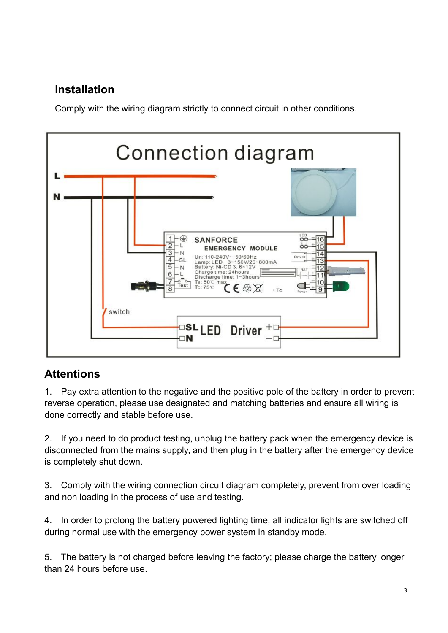# **Installation**

Comply with the wiring diagram strictly to connect circuit in other conditions.



## **Attentions**

1. Pay extra attention to the negative and the positive pole of the battery in order to prevent reverse operation, please use designated and matching batteries and ensure all wiring is done correctly and stable before use.

2. If you need to do product testing, unplug the battery pack when the emergency device is disconnected from the mains supply, and then plug in the battery after the emergency device is completely shut down.

3. Comply with the wiring connection circuit diagram completely, prevent from over loading and non loading in the process of use and testing.

4. In order to prolong the battery powered lighting time, all indicator lights are switched off during normal use with the emergency power system in standby mode.

5. The battery is not charged before leaving the factory; please charge the battery longer than 24 hours before use.